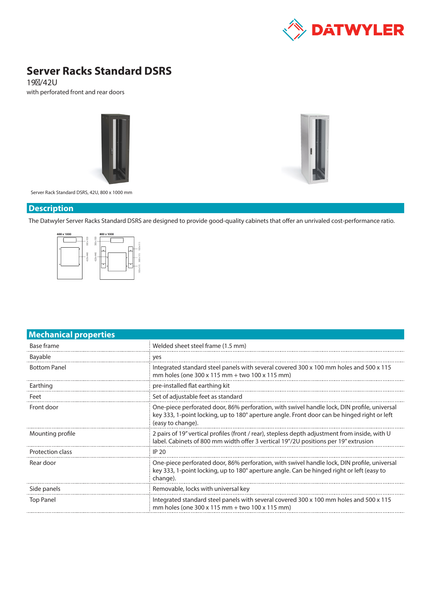

# **Server Racks Standard DSRS**

19″/42U with perforated front and rear doors





Server Rack Standard DSRS, 42U, 800 x 1000 mm

### **Description**

The Datwyler Server Racks Standard DSRS are designed to provide good-quality cabinets that offer an unrivaled cost-performance ratio.



| <b>Mechanical properties</b> |                                                                                                                                                                                                                 |  |  |  |
|------------------------------|-----------------------------------------------------------------------------------------------------------------------------------------------------------------------------------------------------------------|--|--|--|
| Base frame                   | Welded sheet steel frame (1.5 mm)                                                                                                                                                                               |  |  |  |
| <b>Bayable</b>               | yes                                                                                                                                                                                                             |  |  |  |
| <b>Bottom Panel</b>          | Integrated standard steel panels with several covered 300 x 100 mm holes and 500 x 115<br>mm holes (one 300 x 115 mm + two 100 x 115 mm)                                                                        |  |  |  |
| Earthing                     | pre-installed flat earthing kit                                                                                                                                                                                 |  |  |  |
| Feet                         | Set of adjustable feet as standard                                                                                                                                                                              |  |  |  |
| Front door                   | One-piece perforated door, 86% perforation, with swivel handle lock, DIN profile, universal<br>key 333, 1-point locking, up to 180° aperture angle. Front door can be hinged right or left<br>(easy to change). |  |  |  |
| Mounting profile             | 2 pairs of 19" vertical profiles (front / rear), stepless depth adjustment from inside, with U<br>label. Cabinets of 800 mm width offer 3 vertical 19"/2U positions per 19" extrusion                           |  |  |  |
| Protection class             | <b>IP 20</b>                                                                                                                                                                                                    |  |  |  |
| Rear door                    | One-piece perforated door, 86% perforation, with swivel handle lock, DIN profile, universal<br>key 333, 1-point locking, up to 180° aperture angle. Can be hinged right or left (easy to<br>change).            |  |  |  |
| Side panels                  | Removable, locks with universal key                                                                                                                                                                             |  |  |  |
| <b>Top Panel</b>             | Integrated standard steel panels with several covered 300 x 100 mm holes and 500 x 115<br>mm holes (one 300 x 115 mm + two 100 x 115 mm)                                                                        |  |  |  |